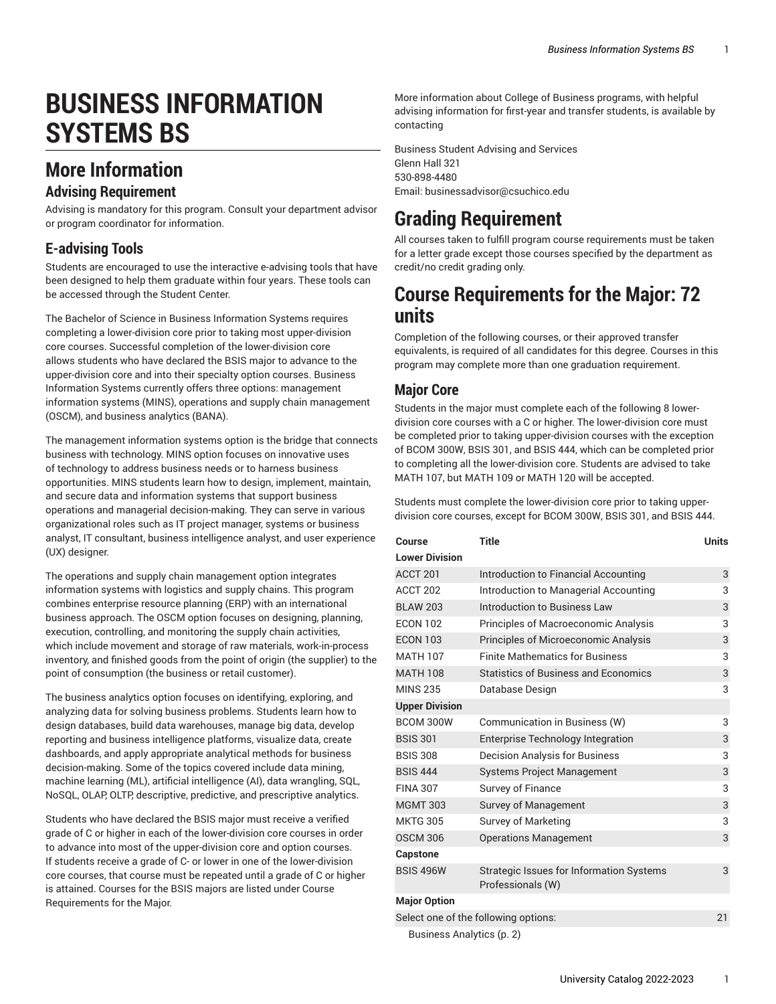# **BUSINESS INFORMATION SYSTEMS BS**

### **More Information**

#### **Advising Requirement**

Advising is mandatory for this program. Consult your department advisor or program coordinator for information.

#### **E-advising Tools**

Students are encouraged to use the interactive e-advising tools that have been designed to help them graduate within four years. These tools can be accessed through the Student Center.

The Bachelor of Science in Business Information Systems requires completing a lower-division core prior to taking most upper-division core courses. Successful completion of the lower-division core allows students who have declared the BSIS major to advance to the upper-division core and into their specialty option courses. Business Information Systems currently offers three options: management information systems (MINS), operations and supply chain management (OSCM), and business analytics (BANA).

The management information systems option is the bridge that connects business with technology. MINS option focuses on innovative uses of technology to address business needs or to harness business opportunities. MINS students learn how to design, implement, maintain, and secure data and information systems that support business operations and managerial decision-making. They can serve in various organizational roles such as IT project manager, systems or business analyst, IT consultant, business intelligence analyst, and user experience (UX) designer.

The operations and supply chain management option integrates information systems with logistics and supply chains. This program combines enterprise resource planning (ERP) with an international business approach. The OSCM option focuses on designing, planning, execution, controlling, and monitoring the supply chain activities, which include movement and storage of raw materials, work-in-process inventory, and finished goods from the point of origin (the supplier) to the point of consumption (the business or retail customer).

The business analytics option focuses on identifying, exploring, and analyzing data for solving business problems. Students learn how to design databases, build data warehouses, manage big data, develop reporting and business intelligence platforms, visualize data, create dashboards, and apply appropriate analytical methods for business decision-making. Some of the topics covered include data mining, machine learning (ML), artificial intelligence (AI), data wrangling, SQL, NoSQL, OLAP, OLTP, descriptive, predictive, and prescriptive analytics.

Students who have declared the BSIS major must receive a verified grade of C or higher in each of the lower-division core courses in order to advance into most of the upper-division core and option courses. If students receive a grade of C- or lower in one of the lower-division core courses, that course must be repeated until a grade of C or higher is attained. Courses for the BSIS majors are listed under Course Requirements for the Major.

More information about College of Business programs, with helpful advising information for first-year and transfer students, is available by contacting

Business Student Advising and Services Glenn Hall 321 530-898-4480 Email: [businessadvisor@csuchico.edu](mailto:businessadvisor@csuchico.edu)

# **Grading Requirement**

All courses taken to fulfill program course requirements must be taken for a letter grade except those courses specified by the department as credit/no credit grading only.

### **Course Requirements for the Major: 72 units**

Completion of the following courses, or their approved transfer equivalents, is required of all candidates for this degree. Courses in this program may complete more than one graduation requirement.

#### **Major Core**

Students in the major must complete each of the following 8 lowerdivision core courses with a C or higher. The lower-division core must be completed prior to taking upper-division courses with the exception of BCOM 300W, BSIS 301, and BSIS 444, which can be completed prior to completing all the lower-division core. Students are advised to take MATH 107, but MATH 109 or MATH 120 will be accepted.

Students must complete the lower-division core prior to taking upperdivision core courses, except for BCOM 300W, BSIS 301, and BSIS 444.

| Course                               | <b>Title</b>                                                         | <b>Units</b> |
|--------------------------------------|----------------------------------------------------------------------|--------------|
| <b>Lower Division</b>                |                                                                      |              |
| ACCT 201                             | Introduction to Financial Accounting                                 | 3            |
| <b>ACCT 202</b>                      | Introduction to Managerial Accounting                                | 3            |
| <b>BLAW 203</b>                      | <b>Introduction to Business Law</b>                                  | 3            |
| <b>ECON 102</b>                      | Principles of Macroeconomic Analysis                                 | 3            |
| <b>ECON 103</b>                      | Principles of Microeconomic Analysis                                 | 3            |
| <b>MATH 107</b>                      | <b>Finite Mathematics for Business</b>                               | 3            |
| <b>MATH 108</b>                      | <b>Statistics of Business and Economics</b>                          | 3            |
| <b>MINS 235</b>                      | Database Design                                                      | 3            |
| <b>Upper Division</b>                |                                                                      |              |
| BCOM 300W                            | Communication in Business (W)                                        | 3            |
| <b>BSIS 301</b>                      | <b>Enterprise Technology Integration</b>                             | 3            |
| <b>BSIS 308</b>                      | <b>Decision Analysis for Business</b>                                | 3            |
| <b>BSIS 444</b>                      | <b>Systems Project Management</b>                                    | 3            |
| <b>FINA 307</b>                      | Survey of Finance                                                    | 3            |
| <b>MGMT 303</b>                      | <b>Survey of Management</b>                                          | 3            |
| <b>MKTG 305</b>                      | <b>Survey of Marketing</b>                                           | 3            |
| <b>OSCM 306</b>                      | <b>Operations Management</b>                                         | 3            |
| <b>Capstone</b>                      |                                                                      |              |
| <b>BSIS 496W</b>                     | <b>Strategic Issues for Information Systems</b><br>Professionals (W) | 3            |
| <b>Major Option</b>                  |                                                                      |              |
| Select one of the following options: |                                                                      |              |
| Business Analytics (p. 2)            |                                                                      |              |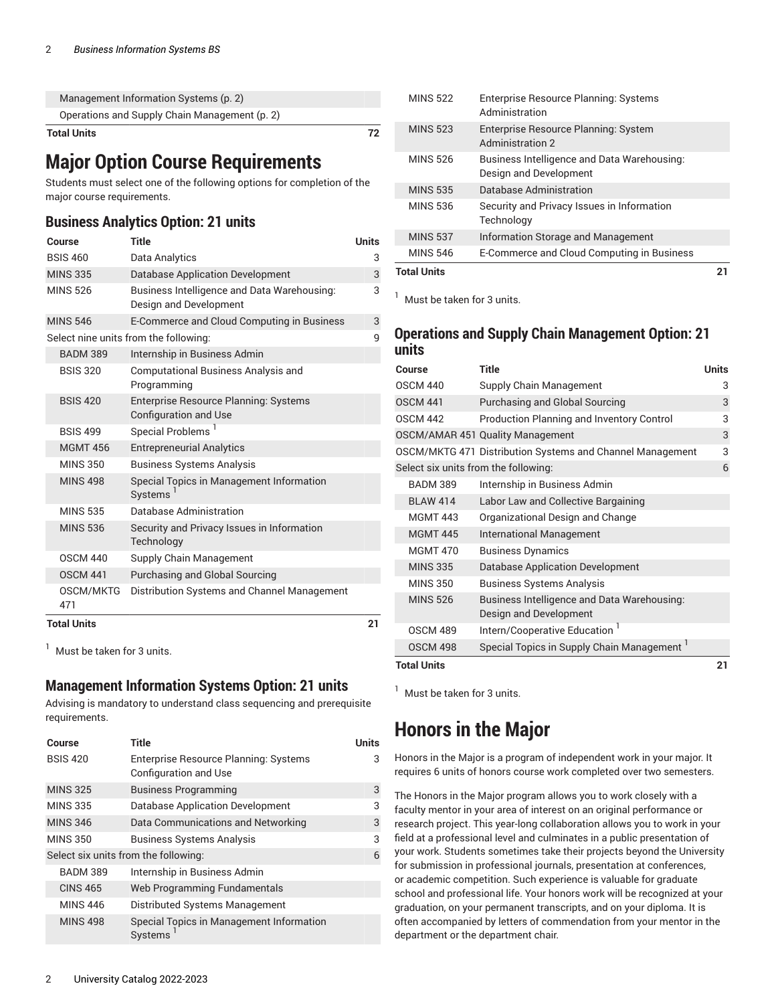| <b>Total Units</b> |                                               | 72 |
|--------------------|-----------------------------------------------|----|
|                    | Operations and Supply Chain Management (p. 2) |    |
|                    | Management Information Systems (p. 2)         |    |

### **Major Option Course Requirements**

Students must select one of the following options for completion of the major course requirements.

#### <span id="page-1-0"></span>**Business Analytics Option: 21 units**

| Course             | Title                                                                        | <b>Units</b> |
|--------------------|------------------------------------------------------------------------------|--------------|
| <b>BSIS 460</b>    | Data Analytics                                                               | 3            |
| <b>MINS 335</b>    | <b>Database Application Development</b>                                      | 3            |
| <b>MINS 526</b>    | Business Intelligence and Data Warehousing:<br>Design and Development        | 3            |
| <b>MINS 546</b>    | E-Commerce and Cloud Computing in Business                                   | 3            |
|                    | Select nine units from the following:                                        | 9            |
| <b>BADM 389</b>    | Internship in Business Admin                                                 |              |
| <b>BSIS 320</b>    | <b>Computational Business Analysis and</b><br>Programming                    |              |
| <b>BSIS 420</b>    | <b>Enterprise Resource Planning: Systems</b><br><b>Configuration and Use</b> |              |
| <b>BSIS 499</b>    | Special Problems <sup>1</sup>                                                |              |
| <b>MGMT 456</b>    | <b>Entrepreneurial Analytics</b>                                             |              |
| <b>MINS 350</b>    | <b>Business Systems Analysis</b>                                             |              |
| <b>MINS 498</b>    | Special Topics in Management Information<br>Systems                          |              |
| <b>MINS 535</b>    | Database Administration                                                      |              |
| <b>MINS 536</b>    | Security and Privacy Issues in Information<br>Technology                     |              |
| <b>OSCM 440</b>    | Supply Chain Management                                                      |              |
| <b>OSCM 441</b>    | Purchasing and Global Sourcing                                               |              |
| OSCM/MKTG<br>471   | Distribution Systems and Channel Management                                  |              |
| <b>Total Units</b> |                                                                              | 21           |

<sup>1</sup> Must be taken for 3 units.

#### <span id="page-1-1"></span>**Management Information Systems Option: 21 units**

Advising is mandatory to understand class sequencing and prerequisite requirements.

| Course                               | Title                                                          | Units |
|--------------------------------------|----------------------------------------------------------------|-------|
| <b>BSIS 420</b>                      | Enterprise Resource Planning: Systems<br>Configuration and Use | З     |
| <b>MINS 325</b>                      | <b>Business Programming</b>                                    | 3     |
| <b>MINS 335</b>                      | <b>Database Application Development</b>                        | 3     |
| <b>MINS 346</b>                      | Data Communications and Networking                             | 3     |
| <b>MINS 350</b>                      | <b>Business Systems Analysis</b>                               | 3     |
| Select six units from the following: |                                                                | 6     |
| <b>BADM 389</b>                      | Internship in Business Admin                                   |       |
| <b>CINS 465</b>                      | Web Programming Fundamentals                                   |       |
| <b>MINS 446</b>                      | Distributed Systems Management                                 |       |
| <b>MINS 498</b>                      | Special Topics in Management Information<br><b>Systems</b>     |       |

| <b>MINS 522</b>    | <b>Enterprise Resource Planning: Systems</b><br>Administration        |  |
|--------------------|-----------------------------------------------------------------------|--|
| <b>MINS 523</b>    | Enterprise Resource Planning: System<br><b>Administration 2</b>       |  |
| <b>MINS 526</b>    | Business Intelligence and Data Warehousing:<br>Design and Development |  |
| <b>MINS 535</b>    | Database Administration                                               |  |
| <b>MINS 536</b>    | Security and Privacy Issues in Information<br>Technology              |  |
| <b>MINS 537</b>    | Information Storage and Management                                    |  |
| <b>MINS 546</b>    | E-Commerce and Cloud Computing in Business                            |  |
| <b>Total Units</b> |                                                                       |  |

 $<sup>1</sup>$  Must be taken for 3 units.</sup>

#### <span id="page-1-2"></span>**Operations and Supply Chain Management Option: 21 units**

| Course                               | <b>Title</b>                                                          | <b>Units</b> |
|--------------------------------------|-----------------------------------------------------------------------|--------------|
| <b>OSCM 440</b>                      | Supply Chain Management                                               | 3            |
| <b>OSCM 441</b>                      | <b>Purchasing and Global Sourcing</b>                                 | 3            |
| <b>OSCM 442</b>                      | <b>Production Planning and Inventory Control</b>                      | 3            |
|                                      | OSCM/AMAR 451 Quality Management                                      | 3            |
|                                      | OSCM/MKTG 471 Distribution Systems and Channel Management             | 3            |
| Select six units from the following: |                                                                       | 6            |
| <b>BADM 389</b>                      | Internship in Business Admin                                          |              |
| <b>BLAW 414</b>                      | Labor Law and Collective Bargaining                                   |              |
| <b>MGMT 443</b>                      | Organizational Design and Change                                      |              |
| <b>MGMT 445</b>                      | <b>International Management</b>                                       |              |
| <b>MGMT 470</b>                      | <b>Business Dynamics</b>                                              |              |
| <b>MINS 335</b>                      | <b>Database Application Development</b>                               |              |
| <b>MINS 350</b>                      | Business Systems Analysis                                             |              |
| <b>MINS 526</b>                      | Business Intelligence and Data Warehousing:<br>Design and Development |              |
| <b>OSCM 489</b>                      | Intern/Cooperative Education <sup>1</sup>                             |              |
| <b>OSCM 498</b>                      | Special Topics in Supply Chain Management                             |              |
| Total Units                          |                                                                       |              |

<sup>1</sup> Must be taken for 3 units.

### **Honors in the Major**

Honors in the Major is a program of independent work in your major. It requires 6 units of honors course work completed over two semesters.

The Honors in the Major program allows you to work closely with a faculty mentor in your area of interest on an original performance or research project. This year-long collaboration allows you to work in your field at a professional level and culminates in a public presentation of your work. Students sometimes take their projects beyond the University for submission in professional journals, presentation at conferences, or academic competition. Such experience is valuable for graduate school and professional life. Your honors work will be recognized at your graduation, on your permanent transcripts, and on your diploma. It is often accompanied by letters of commendation from your mentor in the department or the department chair.